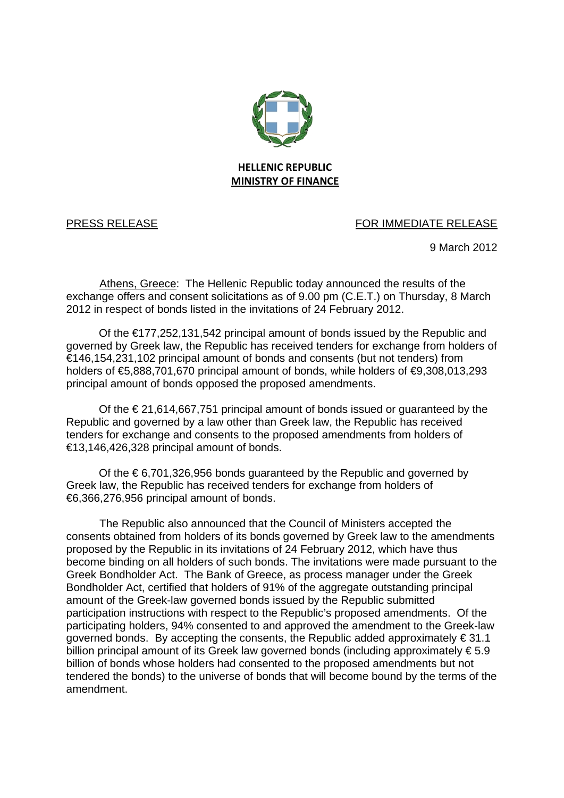

## PRESS RELEASE FOR IMMEDIATE RELEASE

9 March 2012

Athens, Greece:The Hellenic Republic today announced the results of the exchange offers and consent solicitations as of 9.00 pm (C.E.T.) on Thursday, 8 March 2012 in respect of bonds listed in the invitations of 24 February 2012.

Of the €177,252,131,542 principal amount of bonds issued by the Republic and governed by Greek law, the Republic has received tenders for exchange from holders of €146,154,231,102 principal amount of bonds and consents (but not tenders) from holders of €5,888,701,670 principal amount of bonds, while holders of €9,308,013,293 principal amount of bonds opposed the proposed amendments.

Of the  $\epsilon$  21,614,667,751 principal amount of bonds issued or quaranteed by the Republic and governed by a law other than Greek law, the Republic has received tenders for exchange and consents to the proposed amendments from holders of €13,146,426,328 principal amount of bonds.

Of the  $\epsilon$  6,701,326,956 bonds guaranteed by the Republic and governed by Greek law, the Republic has received tenders for exchange from holders of €6,366,276,956 principal amount of bonds.

The Republic also announced that the Council of Ministers accepted the consents obtained from holders of its bonds governed by Greek law to the amendments proposed by the Republic in its invitations of 24 February 2012, which have thus become binding on all holders of such bonds. The invitations were made pursuant to the Greek Bondholder Act. The Bank of Greece, as process manager under the Greek Bondholder Act, certified that holders of 91% of the aggregate outstanding principal amount of the Greek-law governed bonds issued by the Republic submitted participation instructions with respect to the Republic's proposed amendments. Of the participating holders, 94% consented to and approved the amendment to the Greek-law governed bonds. By accepting the consents, the Republic added approximately  $\epsilon$  31.1 billion principal amount of its Greek law governed bonds (including approximately € 5.9 billion of bonds whose holders had consented to the proposed amendments but not tendered the bonds) to the universe of bonds that will become bound by the terms of the amendment.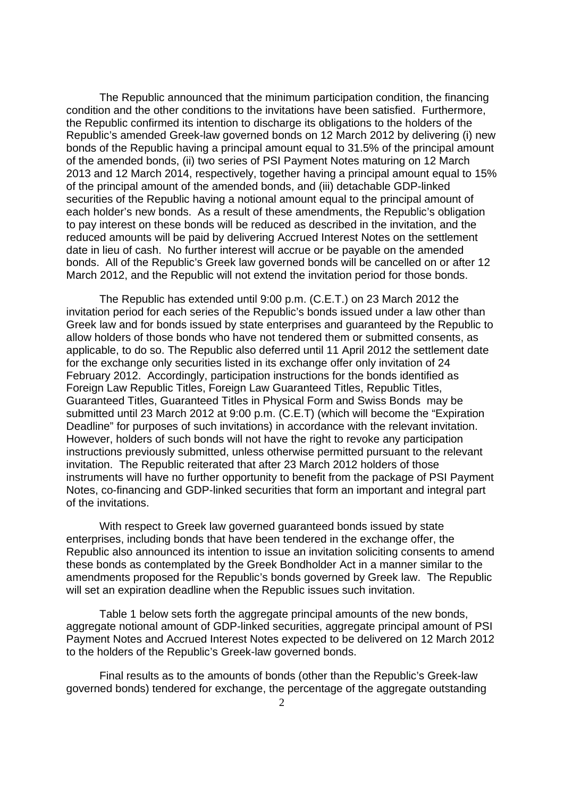The Republic announced that the minimum participation condition, the financing condition and the other conditions to the invitations have been satisfied. Furthermore, the Republic confirmed its intention to discharge its obligations to the holders of the Republic's amended Greek-law governed bonds on 12 March 2012 by delivering (i) new bonds of the Republic having a principal amount equal to 31.5% of the principal amount of the amended bonds, (ii) two series of PSI Payment Notes maturing on 12 March 2013 and 12 March 2014, respectively, together having a principal amount equal to 15% of the principal amount of the amended bonds, and (iii) detachable GDP-linked securities of the Republic having a notional amount equal to the principal amount of each holder's new bonds. As a result of these amendments, the Republic's obligation to pay interest on these bonds will be reduced as described in the invitation, and the reduced amounts will be paid by delivering Accrued Interest Notes on the settlement date in lieu of cash. No further interest will accrue or be payable on the amended bonds. All of the Republic's Greek law governed bonds will be cancelled on or after 12 March 2012, and the Republic will not extend the invitation period for those bonds.

The Republic has extended until 9:00 p.m. (C.E.T.) on 23 March 2012 the invitation period for each series of the Republic's bonds issued under a law other than Greek law and for bonds issued by state enterprises and guaranteed by the Republic to allow holders of those bonds who have not tendered them or submitted consents, as applicable, to do so. The Republic also deferred until 11 April 2012 the settlement date for the exchange only securities listed in its exchange offer only invitation of 24 February 2012. Accordingly, participation instructions for the bonds identified as Foreign Law Republic Titles, Foreign Law Guaranteed Titles, Republic Titles, Guaranteed Titles, Guaranteed Titles in Physical Form and Swiss Bonds may be submitted until 23 March 2012 at 9:00 p.m. (C.E.T) (which will become the "Expiration Deadline" for purposes of such invitations) in accordance with the relevant invitation. However, holders of such bonds will not have the right to revoke any participation instructions previously submitted, unless otherwise permitted pursuant to the relevant invitation. The Republic reiterated that after 23 March 2012 holders of those instruments will have no further opportunity to benefit from the package of PSI Payment Notes, co-financing and GDP-linked securities that form an important and integral part of the invitations.

With respect to Greek law governed guaranteed bonds issued by state enterprises, including bonds that have been tendered in the exchange offer, the Republic also announced its intention to issue an invitation soliciting consents to amend these bonds as contemplated by the Greek Bondholder Act in a manner similar to the amendments proposed for the Republic's bonds governed by Greek law. The Republic will set an expiration deadline when the Republic issues such invitation.

Table 1 below sets forth the aggregate principal amounts of the new bonds, aggregate notional amount of GDP-linked securities, aggregate principal amount of PSI Payment Notes and Accrued Interest Notes expected to be delivered on 12 March 2012 to the holders of the Republic's Greek-law governed bonds.

Final results as to the amounts of bonds (other than the Republic's Greek-law governed bonds) tendered for exchange, the percentage of the aggregate outstanding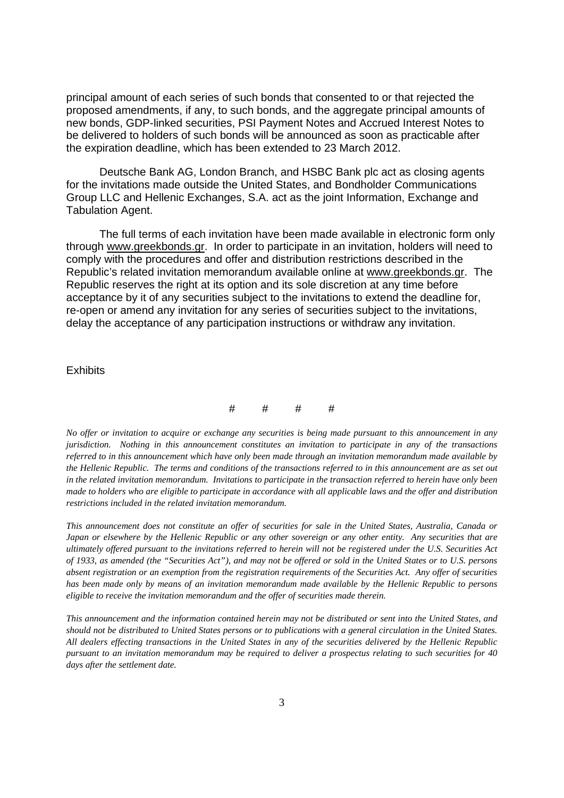principal amount of each series of such bonds that consented to or that rejected the proposed amendments, if any, to such bonds, and the aggregate principal amounts of new bonds, GDP-linked securities, PSI Payment Notes and Accrued Interest Notes to be delivered to holders of such bonds will be announced as soon as practicable after the expiration deadline, which has been extended to 23 March 2012.

Deutsche Bank AG, London Branch, and HSBC Bank plc act as closing agents for the invitations made outside the United States, and Bondholder Communications Group LLC and Hellenic Exchanges, S.A. act as the joint Information, Exchange and Tabulation Agent.

The full terms of each invitation have been made available in electronic form only through www.greekbonds.gr. In order to participate in an invitation, holders will need to comply with the procedures and offer and distribution restrictions described in the Republic's related invitation memorandum available online at www.greekbonds.gr. The Republic reserves the right at its option and its sole discretion at any time before acceptance by it of any securities subject to the invitations to extend the deadline for, re-open or amend any invitation for any series of securities subject to the invitations, delay the acceptance of any participation instructions or withdraw any invitation.

## **Exhibits**



*No offer or invitation to acquire or exchange any securities is being made pursuant to this announcement in any jurisdiction. Nothing in this announcement constitutes an invitation to participate in any of the transactions referred to in this announcement which have only been made through an invitation memorandum made available by the Hellenic Republic. The terms and conditions of the transactions referred to in this announcement are as set out in the related invitation memorandum. Invitations to participate in the transaction referred to herein have only been made to holders who are eligible to participate in accordance with all applicable laws and the offer and distribution restrictions included in the related invitation memorandum.* 

*This announcement does not constitute an offer of securities for sale in the United States, Australia, Canada or Japan or elsewhere by the Hellenic Republic or any other sovereign or any other entity. Any securities that are ultimately offered pursuant to the invitations referred to herein will not be registered under the U.S. Securities Act of 1933, as amended (the "Securities Act"), and may not be offered or sold in the United States or to U.S. persons absent registration or an exemption from the registration requirements of the Securities Act. Any offer of securities has been made only by means of an invitation memorandum made available by the Hellenic Republic to persons eligible to receive the invitation memorandum and the offer of securities made therein.* 

*This announcement and the information contained herein may not be distributed or sent into the United States, and should not be distributed to United States persons or to publications with a general circulation in the United States. All dealers effecting transactions in the United States in any of the securities delivered by the Hellenic Republic pursuant to an invitation memorandum may be required to deliver a prospectus relating to such securities for 40 days after the settlement date.*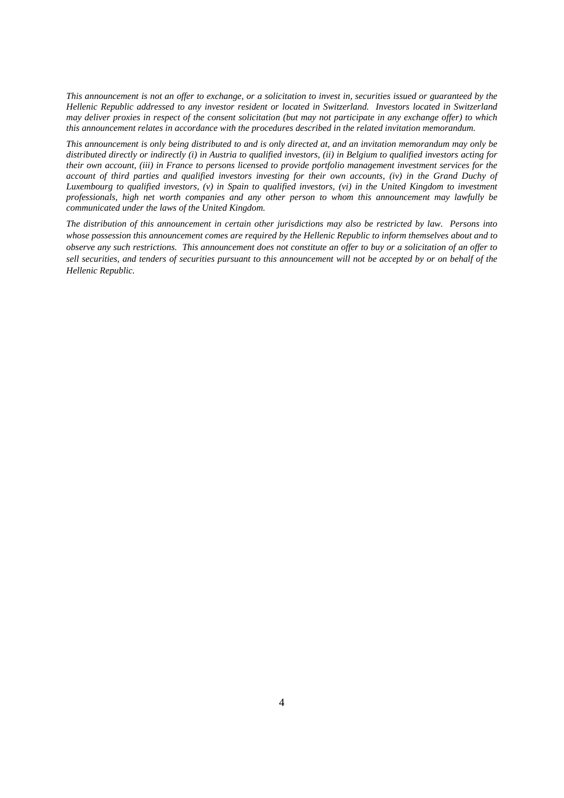*This announcement is not an offer to exchange, or a solicitation to invest in, securities issued or guaranteed by the Hellenic Republic addressed to any investor resident or located in Switzerland. Investors located in Switzerland may deliver proxies in respect of the consent solicitation (but may not participate in any exchange offer) to which this announcement relates in accordance with the procedures described in the related invitation memorandum.* 

*This announcement is only being distributed to and is only directed at, and an invitation memorandum may only be distributed directly or indirectly (i) in Austria to qualified investors, (ii) in Belgium to qualified investors acting for their own account, (iii) in France to persons licensed to provide portfolio management investment services for the account of third parties and qualified investors investing for their own accounts, (iv) in the Grand Duchy of Luxembourg to qualified investors, (v) in Spain to qualified investors, (vi) in the United Kingdom to investment professionals, high net worth companies and any other person to whom this announcement may lawfully be communicated under the laws of the United Kingdom.* 

*The distribution of this announcement in certain other jurisdictions may also be restricted by law. Persons into whose possession this announcement comes are required by the Hellenic Republic to inform themselves about and to observe any such restrictions. This announcement does not constitute an offer to buy or a solicitation of an offer to sell securities, and tenders of securities pursuant to this announcement will not be accepted by or on behalf of the Hellenic Republic.*